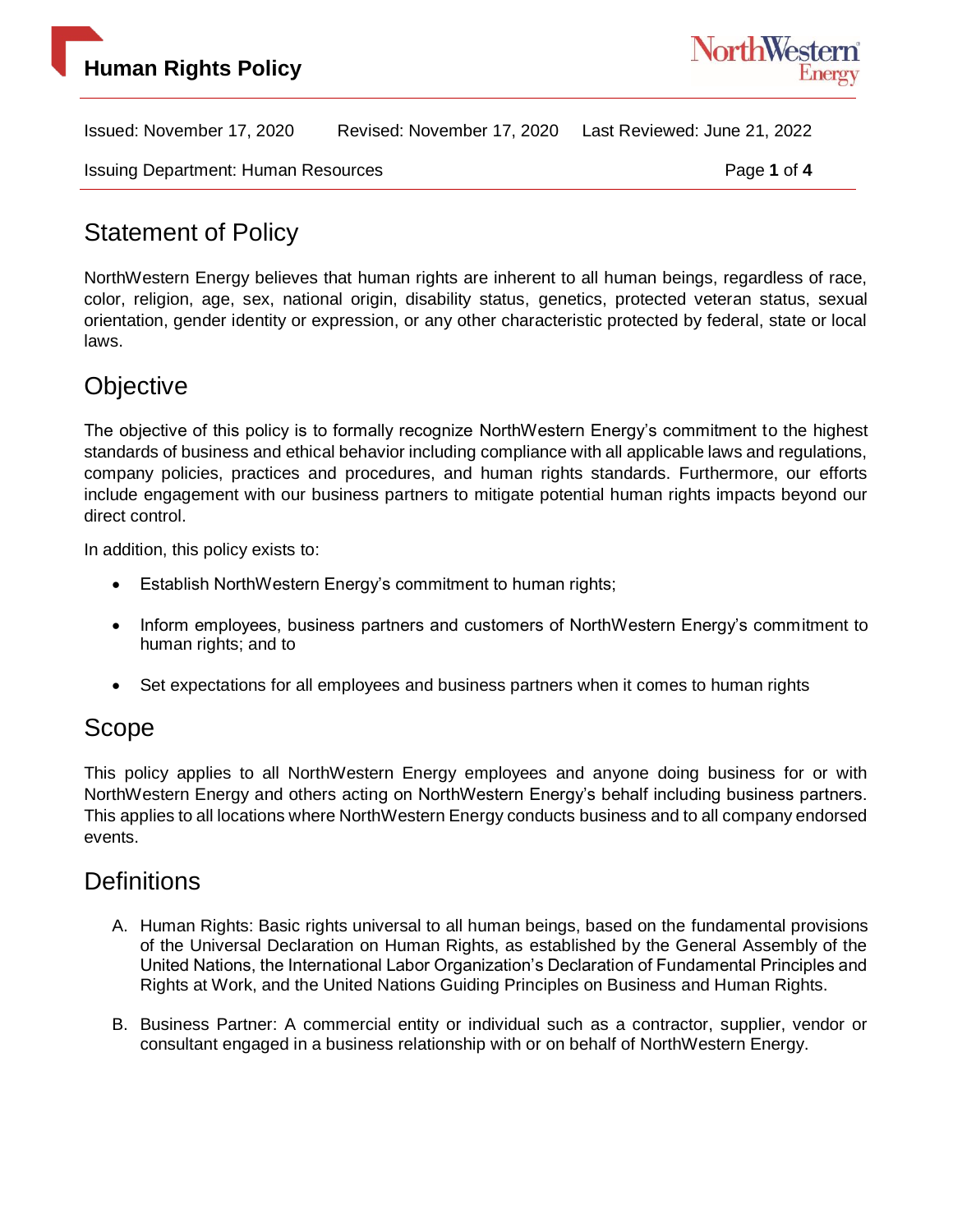

Issued: November 17, 2020 Revised: November 17, 2020 Last Reviewed: June 21, 2022

Issuing Department: Human Resources Page **1** of **4**

### Statement of Policy

NorthWestern Energy believes that human rights are inherent to all human beings, regardless of race, color, religion, age, sex, national origin, disability status, genetics, protected veteran status, sexual orientation, gender identity or expression, or any other characteristic protected by federal, state or local laws.

## **Objective**

The objective of this policy is to formally recognize NorthWestern Energy's commitment to the highest standards of business and ethical behavior including compliance with all applicable laws and regulations, company policies, practices and procedures, and human rights standards. Furthermore, our efforts include engagement with our business partners to mitigate potential human rights impacts beyond our direct control.

In addition, this policy exists to:

- Establish NorthWestern Energy's commitment to human rights;
- Inform employees, business partners and customers of NorthWestern Energy's commitment to human rights; and to
- Set expectations for all employees and business partners when it comes to human rights

## Scope

This policy applies to all NorthWestern Energy employees and anyone doing business for or with NorthWestern Energy and others acting on NorthWestern Energy's behalf including business partners. This applies to all locations where NorthWestern Energy conducts business and to all company endorsed events.

#### **Definitions**

- A. Human Rights: Basic rights universal to all human beings, based on the fundamental provisions of the Universal Declaration on Human Rights, as established by the General Assembly of the United Nations, the International Labor Organization's Declaration of Fundamental Principles and Rights at Work, and the United Nations Guiding Principles on Business and Human Rights.
- B. Business Partner: A commercial entity or individual such as a contractor, supplier, vendor or consultant engaged in a business relationship with or on behalf of NorthWestern Energy.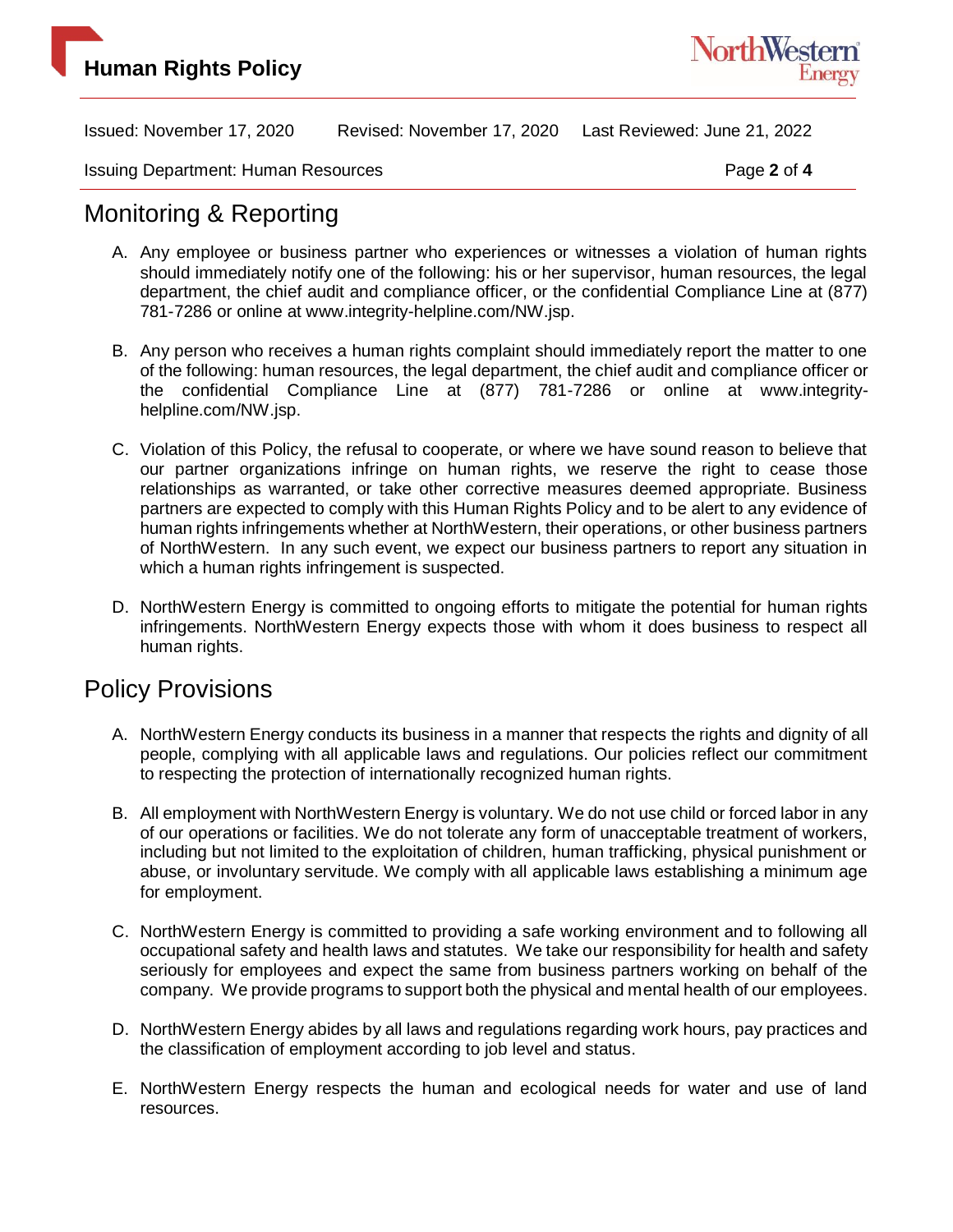

Issued: November 17, 2020 Revised: November 17, 2020 Last Reviewed: June 21, 2022

Issuing Department: Human Resources **Page 2** of 4

#### Monitoring & Reporting

- A. Any employee or business partner who experiences or witnesses a violation of human rights should immediately notify one of the following: his or her supervisor, human resources, the legal department, the chief audit and compliance officer, or the confidential Compliance Line at (877) 781-7286 or online at www.integrity-helpline.com/NW.jsp.
- B. Any person who receives a human rights complaint should immediately report the matter to one of the following: human resources, the legal department, the chief audit and compliance officer or the confidential Compliance Line at (877) 781-7286 or online at www.integrityhelpline.com/NW.jsp.
- C. Violation of this Policy, the refusal to cooperate, or where we have sound reason to believe that our partner organizations infringe on human rights, we reserve the right to cease those relationships as warranted, or take other corrective measures deemed appropriate. Business partners are expected to comply with this Human Rights Policy and to be alert to any evidence of human rights infringements whether at NorthWestern, their operations, or other business partners of NorthWestern. In any such event, we expect our business partners to report any situation in which a human rights infringement is suspected.
- D. NorthWestern Energy is committed to ongoing efforts to mitigate the potential for human rights infringements. NorthWestern Energy expects those with whom it does business to respect all human rights.

#### Policy Provisions

- A. NorthWestern Energy conducts its business in a manner that respects the rights and dignity of all people, complying with all applicable laws and regulations. Our policies reflect our commitment to respecting the protection of internationally recognized human rights.
- B. All employment with NorthWestern Energy is voluntary. We do not use child or forced labor in any of our operations or facilities. We do not tolerate any form of unacceptable treatment of workers, including but not limited to the exploitation of children, human trafficking, physical punishment or abuse, or involuntary servitude. We comply with all applicable laws establishing a minimum age for employment.
- C. NorthWestern Energy is committed to providing a safe working environment and to following all occupational safety and health laws and statutes. We take our responsibility for health and safety seriously for employees and expect the same from business partners working on behalf of the company. We provide programs to support both the physical and mental health of our employees.
- D. NorthWestern Energy abides by all laws and regulations regarding work hours, pay practices and the classification of employment according to job level and status.
- E. NorthWestern Energy respects the human and ecological needs for water and use of land resources.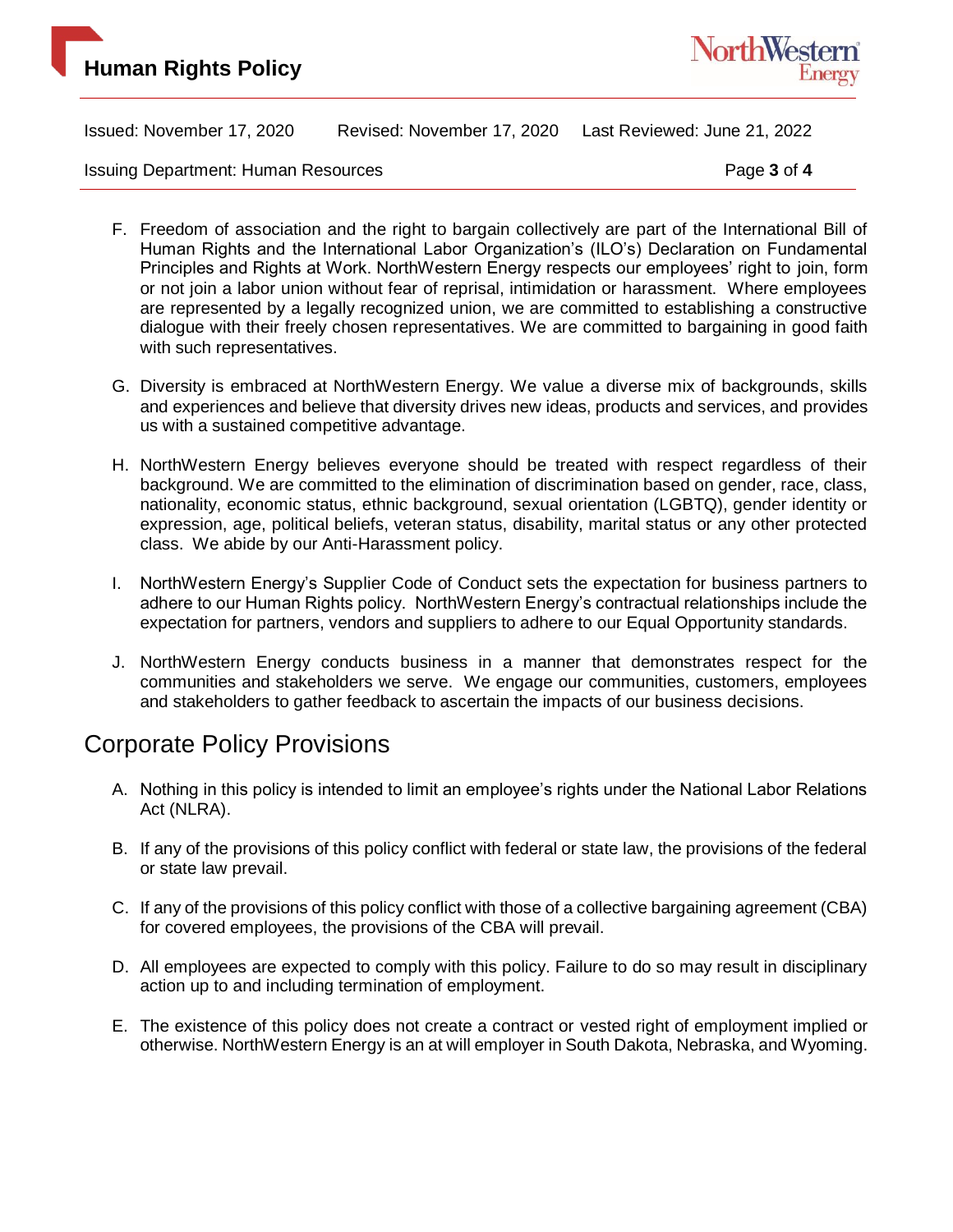

Issued: November 17, 2020 Revised: November 17, 2020 Last Reviewed: June 21, 2022

Issuing Department: Human Resources **Page 3** of 4

- F. Freedom of association and the right to bargain collectively are part of the International Bill of Human Rights and the International Labor Organization's (ILO's) Declaration on Fundamental Principles and Rights at Work. NorthWestern Energy respects our employees' right to join, form or not join a labor union without fear of reprisal, intimidation or harassment. Where employees are represented by a legally recognized union, we are committed to establishing a constructive dialogue with their freely chosen representatives. We are committed to bargaining in good faith with such representatives.
- G. Diversity is embraced at NorthWestern Energy. We value a diverse mix of backgrounds, skills and experiences and believe that diversity drives new ideas, products and services, and provides us with a sustained competitive advantage.
- H. NorthWestern Energy believes everyone should be treated with respect regardless of their background. We are committed to the elimination of discrimination based on gender, race, class, nationality, economic status, ethnic background, sexual orientation (LGBTQ), gender identity or expression, age, political beliefs, veteran status, disability, marital status or any other protected class. We abide by our Anti-Harassment policy.
- I. NorthWestern Energy's Supplier Code of Conduct sets the expectation for business partners to adhere to our Human Rights policy. NorthWestern Energy's contractual relationships include the expectation for partners, vendors and suppliers to adhere to our Equal Opportunity standards.
- J. NorthWestern Energy conducts business in a manner that demonstrates respect for the communities and stakeholders we serve. We engage our communities, customers, employees and stakeholders to gather feedback to ascertain the impacts of our business decisions.

#### Corporate Policy Provisions

- A. Nothing in this policy is intended to limit an employee's rights under the National Labor Relations Act (NLRA).
- B. If any of the provisions of this policy conflict with federal or state law, the provisions of the federal or state law prevail.
- C. If any of the provisions of this policy conflict with those of a collective bargaining agreement (CBA) for covered employees, the provisions of the CBA will prevail.
- D. All employees are expected to comply with this policy. Failure to do so may result in disciplinary action up to and including termination of employment.
- E. The existence of this policy does not create a contract or vested right of employment implied or otherwise. NorthWestern Energy is an at will employer in South Dakota, Nebraska, and Wyoming.